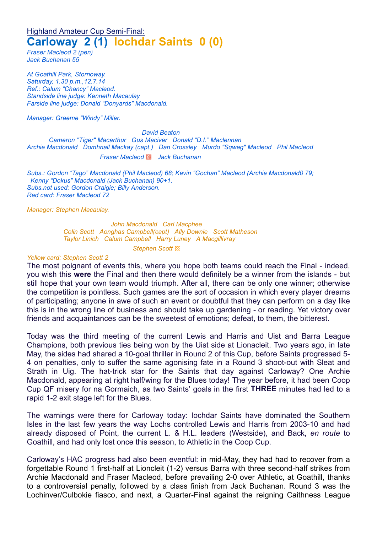# Highland Amateur Cup Semi-Final: **Carloway 2 (1) Iochdar Saints 0 (0)**

*Fraser Macleod 2 (pen) Jack Buchanan 55*

*At Goathill Park, Stornoway. Saturday, 1.30 p.m.,12.7.14 Ref.: Calum "Chancy" Macleod. Standside line judge: Kenneth Macaulay Farside line judge: Donald "Donyards" Macdonald.*

*Manager: Graeme "Windy" Miller.*

*David Beaton*

*Cameron "Tiger" Macarthur Gus Maciver Donald "D.I." Maclennan Archie Macdonald Domhnall Mackay (capt.) Dan Crossley Murdo "Sqweg" Macleod Phil Macleod Fraser Macleod* ▩ *Jack Buchanan*

*Subs.: Gordon "Tago" Macdonald (Phil Macleod) 68; Kevin "Gochan" Macleod (Archie Macdonald0 79; Kenny "Dokus" Macdonald (Jack Buchanan) 90+1. Subs.not used: Gordon Craigie; Billy Anderson. Red card: Fraser Macleod 72*

*Manager: Stephen Macaulay.*

*John Macdonald Carl Macphee Colin Scott Aonghas Campbell(capt) Ally Downie Scott Matheson Taylor Linich Calum Campbell Harry Luney A Macgillivray*

*Stephen Scott* ▩

#### *Yellow card: Stephen Scott 2*

The most poignant of events this, where you hope both teams could reach the Final - indeed, you wish this **were** the Final and then there would definitely be a winner from the islands - but still hope that your own team would triumph. After all, there can be only one winner; otherwise the competition is pointless. Such games are the sort of occasion in which every player dreams of participating; anyone in awe of such an event or doubtful that they can perform on a day like this is in the wrong line of business and should take up gardening - or reading. Yet victory over friends and acquaintances can be the sweetest of emotions; defeat, to them, the bitterest.

Today was the third meeting of the current Lewis and Harris and Uist and Barra League Champions, both previous ties being won by the Uist side at Lionacleit. Two years ago, in late May, the sides had shared a 10-goal thriller in Round 2 of this Cup, before Saints progressed 5- 4 on penalties, only to suffer the same agonising fate in a Round 3 shoot-out with Sleat and Strath in Uig. The hat-trick star for the Saints that day against Carloway? One Archie Macdonald, appearing at right half/wing for the Blues today! The year before, it had been Coop Cup QF misery for na Gormaich, as two Saints' goals in the first **THREE** minutes had led to a rapid 1-2 exit stage left for the Blues.

The warnings were there for Carloway today: Iochdar Saints have dominated the Southern Isles in the last few years the way Lochs controlled Lewis and Harris from 2003-10 and had already disposed of Point, the current L. & H.L. leaders (Westside), and Back, *en route* to Goathill, and had only lost once this season, to Athletic in the Coop Cup.

Carloway's HAC progress had also been eventful: in mid-May, they had had to recover from a forgettable Round 1 first-half at Lioncleit (1-2) versus Barra with three second-half strikes from Archie Macdonald and Fraser Macleod, before prevailing 2-0 over Athletic, at Goathill, thanks to a controversial penalty, followed by a class finish from Jack Buchanan. Round 3 was the Lochinver/Culbokie fiasco, and next, a Quarter-Final against the reigning Caithness League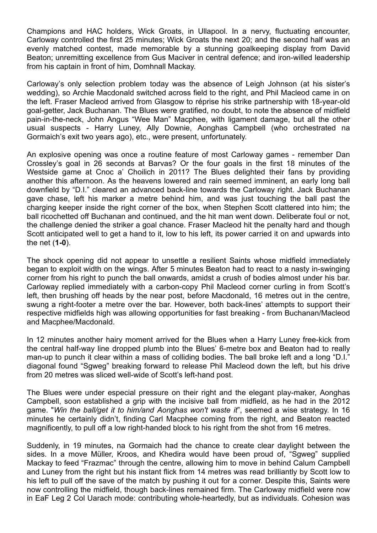Champions and HAC holders, Wick Groats, in Ullapool. In a nervy, fluctuating encounter, Carloway controlled the first 25 minutes; Wick Groats the next 20; and the second half was an evenly matched contest, made memorable by a stunning goalkeeping display from David Beaton; unremitting excellence from Gus Maciver in central defence; and iron-willed leadership from his captain in front of him, Domhnall Mackay.

Carloway's only selection problem today was the absence of Leigh Johnson (at his sister's wedding), so Archie Macdonald switched across field to the right, and Phil Macleod came in on the left. Fraser Macleod arrived from Glasgow to réprise his strike partnership with 18-year-old goal-getter, Jack Buchanan. The Blues were gratified, no doubt, to note the absence of midfield pain-in-the-neck, John Angus "Wee Man" Macphee, with ligament damage, but all the other usual suspects - Harry Luney, Ally Downie, Aonghas Campbell (who orchestrated na Gormaich's exit two years ago), etc., were present, unfortunately.

An explosive opening was once a routine feature of most Carloway games - remember Dan Crossley's goal in 26 seconds at Barvas? Or the four goals in the first 18 minutes of the Westside game at Cnoc a' Choilich in 2011? The Blues delighted their fans by providing another this afternoon. As the heavens lowered and rain seemed imminent, an early long ball downfield by "D.I." cleared an advanced back-line towards the Carloway right. Jack Buchanan gave chase, left his marker a metre behind him, and was just touching the ball past the charging keeper inside the right corner of the box, when Stephen Scott clattered into him; the ball ricochetted off Buchanan and continued, and the hit man went down. Deliberate foul or not, the challenge denied the striker a goal chance. Fraser Macleod hit the penalty hard and though Scott anticipated well to get a hand to it, low to his left, its power carried it on and upwards into the net (**1-0**).

The shock opening did not appear to unsettle a resilient Saints whose midfield immediately began to exploit width on the wings. After 5 minutes Beaton had to react to a nasty in-swinging corner from his right to punch the ball onwards, amidst a crush of bodies almost under his bar. Carloway replied immediately with a carbon-copy Phil Macleod corner curling in from Scott's left, then brushing off heads by the near post, before Macdonald, 16 metres out in the centre, swung a right-footer a metre over the bar. However, both back-lines' attempts to support their respective midfields high was allowing opportunities for fast breaking - from Buchanan/Macleod and Macphee/Macdonald.

In 12 minutes another hairy moment arrived for the Blues when a Harry Luney free-kick from the central half-way line dropped plumb into the Blues' 6-metre box and Beaton had to really man-up to punch it clear within a mass of colliding bodies. The ball broke left and a long "D.I." diagonal found "Sgweg" breaking forward to release Phil Macleod down the left, but his drive from 20 metres was sliced well-wide of Scott's left-hand post.

The Blues were under especial pressure on their right and the elegant play-maker, Aonghas Campbell, soon established a grip with the incisive ball from midfield, as he had in the 2012 game. "*Win the ball/get it to him/and Aonghas won't waste it*", seemed a wise strategy. In 16 minutes he certainly didn't, finding Carl Macphee coming from the right, and Beaton reacted magnificently, to pull off a low right-handed block to his right from the shot from 16 metres.

Suddenly, in 19 minutes, na Gormaich had the chance to create clear daylight between the sides. In a move Müller, Kroos, and Khedira would have been proud of, "Sgweg" supplied Mackay to feed "Frazmac" through the centre, allowing him to move in behind Calum Campbell and Luney from the right but his instant flick from 14 metres was read brilliantly by Scott low to his left to pull off the save of the match by pushing it out for a corner. Despite this, Saints were now controlling the midfield, though back-lines remained firm. The Carloway midfield were now in EaF Leg 2 Col Uarach mode: contributing whole-heartedly, but as individuals. Cohesion was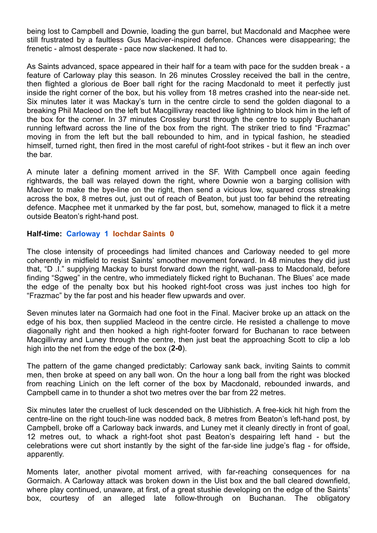being lost to Campbell and Downie, loading the gun barrel, but Macdonald and Macphee were still frustrated by a faultless Gus Maciver-inspired defence. Chances were disappearing; the frenetic - almost desperate - pace now slackened. It had to.

As Saints advanced, space appeared in their half for a team with pace for the sudden break - a feature of Carloway play this season. In 26 minutes Crossley received the ball in the centre, then flighted a glorious de Boer ball right for the racing Macdonald to meet it perfectly just inside the right corner of the box, but his volley from 18 metres crashed into the near-side net. Six minutes later it was Mackay's turn in the centre circle to send the golden diagonal to a breaking Phil Macleod on the left but Macgillivray reacted like lightning to block him in the left of the box for the corner. In 37 minutes Crossley burst through the centre to supply Buchanan running leftward across the line of the box from the right. The striker tried to find "Frazmac" moving in from the left but the ball rebounded to him, and in typical fashion, he steadied himself, turned right, then fired in the most careful of right-foot strikes - but it flew an inch over the bar.

A minute later a defining moment arrived in the SF. With Campbell once again feeding rightwards, the ball was relayed down the right, where Downie won a barging collision with Maciver to make the bye-line on the right, then send a vicious low, squared cross streaking across the box, 8 metres out, just out of reach of Beaton, but just too far behind the retreating defence. Macphee met it unmarked by the far post, but, somehow, managed to flick it a metre outside Beaton's right-hand post.

### **Half-time: Carloway 1 Iochdar Saints 0**

The close intensity of proceedings had limited chances and Carloway needed to gel more coherently in midfield to resist Saints' smoother movement forward. In 48 minutes they did just that, "D .I." supplying Mackay to burst forward down the right, wall-pass to Macdonald, before finding "Sgweg" in the centre, who immediately flicked right to Buchanan. The Blues' ace made the edge of the penalty box but his hooked right-foot cross was just inches too high for "Frazmac" by the far post and his header flew upwards and over.

Seven minutes later na Gormaich had one foot in the Final. Maciver broke up an attack on the edge of his box, then supplied Macleod in the centre circle. He resisted a challenge to move diagonally right and then hooked a high right-footer forward for Buchanan to race between Macgillivray and Luney through the centre, then just beat the approaching Scott to clip a lob high into the net from the edge of the box (**2-0**).

The pattern of the game changed predictably: Carloway sank back, inviting Saints to commit men, then broke at speed on any ball won. On the hour a long ball from the right was blocked from reaching Linich on the left corner of the box by Macdonald, rebounded inwards, and Campbell came in to thunder a shot two metres over the bar from 22 metres.

Six minutes later the cruellest of luck descended on the Uibhistich. A free-kick hit high from the centre-line on the right touch-line was nodded back, 8 metres from Beaton's left-hand post, by Campbell, broke off a Carloway back inwards, and Luney met it cleanly directly in front of goal, 12 metres out, to whack a right-foot shot past Beaton's despairing left hand - but the celebrations were cut short instantly by the sight of the far-side line judge's flag - for offside, apparently.

Moments later, another pivotal moment arrived, with far-reaching consequences for na Gormaich. A Carloway attack was broken down in the Uist box and the ball cleared downfield, where play continued, unaware, at first, of a great stushie developing on the edge of the Saints' box, courtesy of an alleged late follow-through on Buchanan. The obligatory